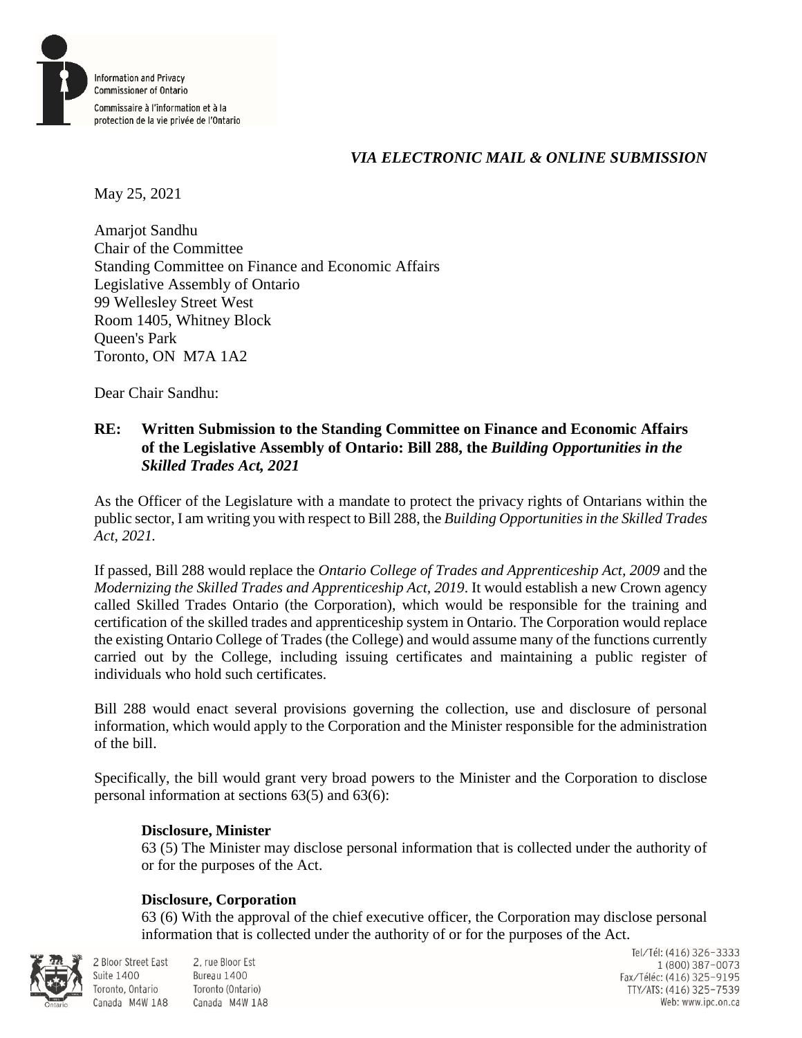

## *VIA ELECTRONIC MAIL & ONLINE SUBMISSION*

May 25, 2021

Amarjot Sandhu Chair of the Committee Standing Committee on Finance and Economic Affairs Legislative Assembly of Ontario 99 Wellesley Street West Room 1405, Whitney Block Queen's Park Toronto, ON M7A 1A2

Dear Chair Sandhu:

## **RE: Written Submission to the Standing Committee on Finance and Economic Affairs of the Legislative Assembly of Ontario: Bill 288, the** *Building Opportunities in the Skilled Trades Act, 2021*

As the Officer of the Legislature with a mandate to protect the privacy rights of Ontarians within the public sector, I am writing you with respect to Bill 288, the *Building Opportunities in the Skilled Trades Act, 2021.* 

If passed, Bill 288 would replace the *Ontario College of Trades and Apprenticeship Act, 2009* and the *Modernizing the Skilled Trades and Apprenticeship Act, 2019*. It would establish a new Crown agency called Skilled Trades Ontario (the Corporation), which would be responsible for the training and certification of the skilled trades and apprenticeship system in Ontario. The Corporation would replace the existing Ontario College of Trades (the College) and would assume many of the functions currently carried out by the College, including issuing certificates and maintaining a public register of individuals who hold such certificates.

Bill 288 would enact several provisions governing the collection, use and disclosure of personal information, which would apply to the Corporation and the Minister responsible for the administration of the bill.

Specifically, the bill would grant very broad powers to the Minister and the Corporation to disclose personal information at sections 63(5) and 63(6):

## **Disclosure, Minister**

63 (5) The Minister may disclose personal information that is collected under the authority of or for the purposes of the Act.

## **Disclosure, Corporation**

63 (6) With the approval of the chief executive officer, the Corporation may disclose personal information that is collected under the authority of or for the purposes of the Act.



**Suite 1400** 

2 Bloor Street East 2, rue Bloor Est Bureau 1400 Toronto (Ontario) Canada M4W 1A8 Canada M4W 1A8

Tel/Tél: (416) 326-3333 1 (800) 387-0073 Fax/Téléc: (416) 325-9195 TTY/ATS: (416) 325-7539<br>Web: www.ipc.on.ca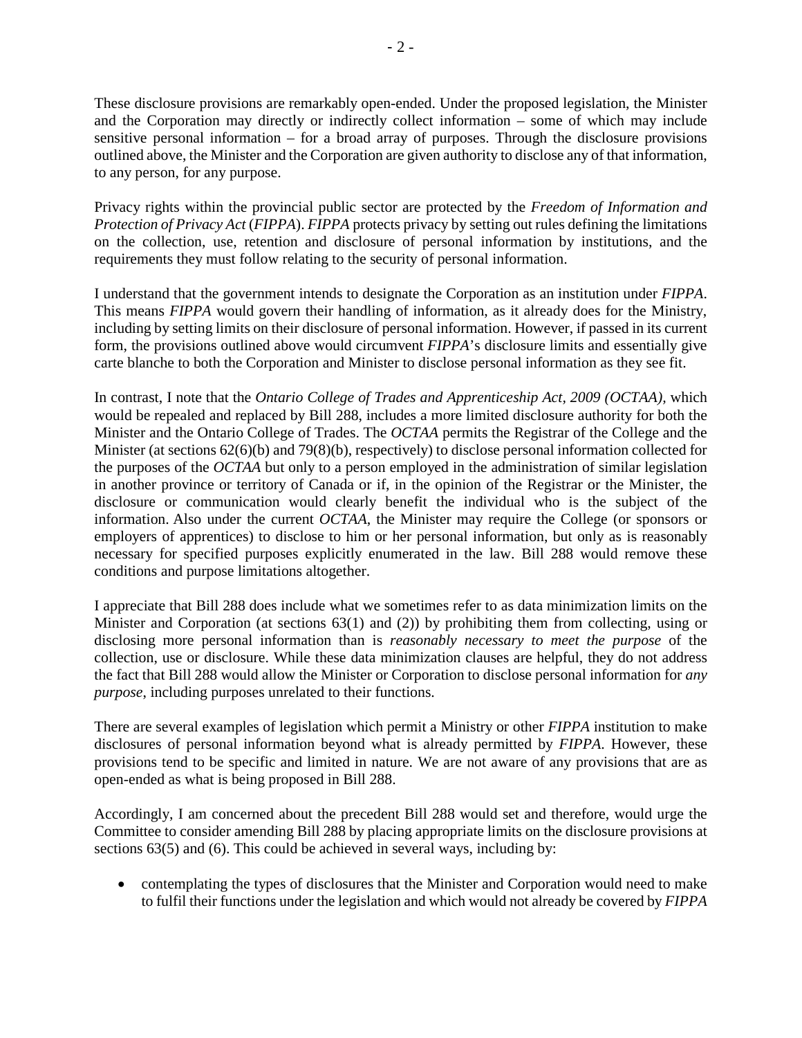These disclosure provisions are remarkably open-ended. Under the proposed legislation, the Minister and the Corporation may directly or indirectly collect information – some of which may include sensitive personal information – for a broad array of purposes. Through the disclosure provisions outlined above, the Minister and the Corporation are given authority to disclose any of that information, to any person, for any purpose.

Privacy rights within the provincial public sector are protected by the *Freedom of Information and Protection of Privacy Act* (*FIPPA*). *FIPPA* protects privacy by setting out rules defining the limitations on the collection, use, retention and disclosure of personal information by institutions, and the requirements they must follow relating to the security of personal information.

I understand that the government intends to designate the Corporation as an institution under *FIPPA*. This means *FIPPA* would govern their handling of information, as it already does for the Ministry, including by setting limits on their disclosure of personal information. However, if passed in its current form, the provisions outlined above would circumvent *FIPPA*'s disclosure limits and essentially give carte blanche to both the Corporation and Minister to disclose personal information as they see fit.

In contrast, I note that the *Ontario College of Trades and Apprenticeship Act, 2009 (OCTAA),* which would be repealed and replaced by Bill 288, includes a more limited disclosure authority for both the Minister and the Ontario College of Trades. The *OCTAA* permits the Registrar of the College and the Minister (at sections 62(6)(b) and 79(8)(b), respectively) to disclose personal information collected for the purposes of the *OCTAA* but only to a person employed in the administration of similar legislation in another province or territory of Canada or if, in the opinion of the Registrar or the Minister, the disclosure or communication would clearly benefit the individual who is the subject of the information. Also under the current *OCTAA*, the Minister may require the College (or sponsors or employers of apprentices) to disclose to him or her personal information, but only as is reasonably necessary for specified purposes explicitly enumerated in the law. Bill 288 would remove these conditions and purpose limitations altogether.

I appreciate that Bill 288 does include what we sometimes refer to as data minimization limits on the Minister and Corporation (at sections 63(1) and (2)) by prohibiting them from collecting, using or disclosing more personal information than is *reasonably necessary to meet the purpose* of the collection, use or disclosure. While these data minimization clauses are helpful, they do not address the fact that Bill 288 would allow the Minister or Corporation to disclose personal information for *any purpose*, including purposes unrelated to their functions.

There are several examples of legislation which permit a Ministry or other *FIPPA* institution to make disclosures of personal information beyond what is already permitted by *FIPPA*. However, these provisions tend to be specific and limited in nature. We are not aware of any provisions that are as open-ended as what is being proposed in Bill 288.

Accordingly, I am concerned about the precedent Bill 288 would set and therefore, would urge the Committee to consider amending Bill 288 by placing appropriate limits on the disclosure provisions at sections 63(5) and (6). This could be achieved in several ways, including by:

• contemplating the types of disclosures that the Minister and Corporation would need to make to fulfil their functions under the legislation and which would not already be covered by *FIPPA*